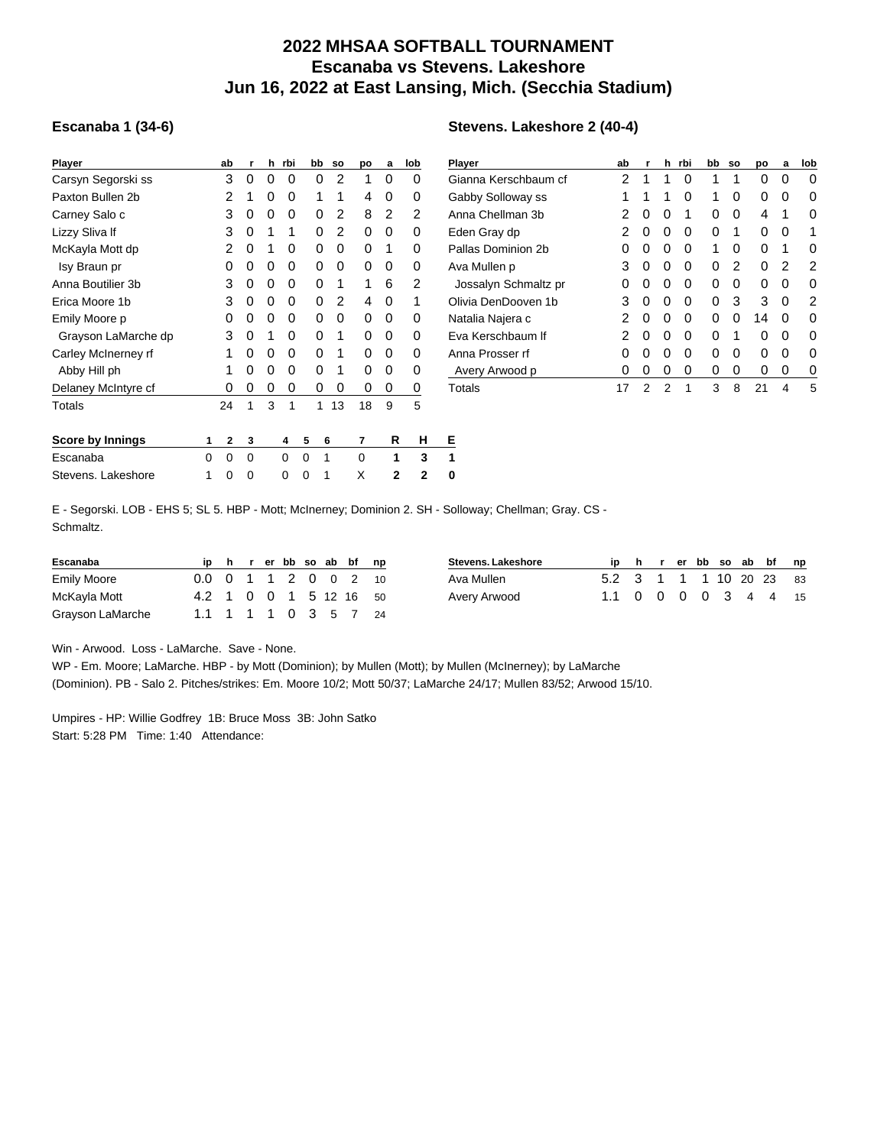## **2022 MHSAA SOFTBALL TOURNAMENT Escanaba vs Stevens. Lakeshore Jun 16, 2022 at East Lansing, Mich. (Secchia Stadium)**

**Stevens. Lakeshore 2 (40-4)**

## **Escanaba 1 (34-6)**

| <b>Player</b>           |   | ab | r | h | rbi | bb | <b>SO</b> | po | a | lob | $\overline{P}$ |
|-------------------------|---|----|---|---|-----|----|-----------|----|---|-----|----------------|
| Carsyn Segorski ss      |   | 3  | 0 | 0 | 0   | 0  | 2         | 1  | 0 | 0   | C              |
| Paxton Bullen 2b        |   | 2  | 1 | 0 | 0   | 1  | 1         | 4  | 0 | 0   | C              |
| Carney Salo c           |   | 3  | 0 | 0 | 0   | 0  | 2         | 8  | 2 | 2   | А              |
| Lizzy Sliva If          |   | 3  | 0 | 1 | 1   | 0  | 2         | 0  | 0 | 0   | Е              |
| McKayla Mott dp         |   | 2  | 0 | 1 | 0   | 0  | 0         | 0  | 1 | 0   | Ρ              |
| Isy Braun pr            |   | 0  | 0 | 0 | 0   | 0  | 0         | 0  | 0 | 0   | А              |
| Anna Boutilier 3b       |   | 3  | 0 | 0 | 0   | 0  | 1         | 1  | 6 | 2   |                |
| Erica Moore 1b          |   | 3  | 0 | 0 | 0   | 0  | 2         | 4  | 0 | 1   | C              |
| Emily Moore p           |   | 0  | 0 | 0 | 0   | 0  | 0         | 0  | 0 | 0   | Ν              |
| Grayson LaMarche dp     |   | 3  | 0 | 1 | 0   | 0  | 1         | 0  | 0 | 0   | Е              |
| Carley McInerney rf     |   | 1  | 0 | 0 | 0   | 0  | 1         | 0  | 0 | 0   | А              |
| Abby Hill ph            |   | 1  | 0 | 0 | 0   | 0  | 1         | 0  | 0 | 0   |                |
| Delaney McIntyre cf     |   | 0  | 0 | 0 | 0   | 0  | 0         | 0  | 0 | 0   | T              |
| Totals                  |   | 24 | 1 | 3 | 1   | 1  | 13        | 18 | 9 | 5   |                |
| <b>Score by Innings</b> | 1 | 2  | 3 |   | 4   | 5  | 6         | 7  | R | н   | Е              |
| Escanaba                | 0 | 0  | 0 |   | 0   | 0  | 1         | 0  | 1 | 3   | 1              |
| Stevens. Lakeshore      | 1 | 0  | 0 |   | 0   | 0  | 1         | X  | 2 | 2   | 0              |

| Player               | ab | r | h | rbi | bb | so | po | a | lob |
|----------------------|----|---|---|-----|----|----|----|---|-----|
| Gianna Kerschbaum cf | 2  | 1 | 1 | O   | 1  | 1  | 0  | O | O   |
| Gabby Solloway ss    | 1  | 1 | 1 | 0   | 1  | 0  | 0  | 0 | 0   |
| Anna Chellman 3b     | 2  | 0 | 0 | 1   | 0  | 0  | 4  | 1 | O   |
| Eden Gray dp         | 2  | 0 | 0 | O   | 0  | 1  | 0  | 0 | 1   |
| Pallas Dominion 2b   | 0  | 0 | 0 | O   | 1  | 0  | 0  | 1 | O   |
| Ava Mullen p         | 3  | 0 | 0 | O   | 0  | 2  | 0  | 2 | 2   |
| Jossalyn Schmaltz pr | O  | 0 | 0 | O   | 0  | 0  | O  | O | O   |
| Olivia DenDooven 1b  | 3  | 0 | 0 | 0   | 0  | 3  | 3  | 0 | 2   |
| Natalia Najera c     | 2  | 0 | 0 | O   | 0  | 0  | 14 | O | O   |
| Eva Kerschbaum If    | 2  | 0 | 0 | O   | 0  | 1  | 0  | O | n   |
| Anna Prosser rf      | 0  | 0 | 0 | 0   | 0  | 0  | 0  | 0 | ŋ   |
| Avery Arwood p       | 0  | 0 | 0 | 0   | 0  | 0  | 0  | 0 | O   |
| Totals               | 17 | 2 | 2 | 1   | 3  | 8  | 21 | 4 | 5   |

E - Segorski. LOB - EHS 5; SL 5. HBP - Mott; McInerney; Dominion 2. SH - Solloway; Chellman; Gray. CS - Schmaltz.

| Escanaba           |                        |  |  |  | h rerbb so ab bf | np |
|--------------------|------------------------|--|--|--|------------------|----|
| <b>Emily Moore</b> | 0.0 0 1 1 2 0 0 2 10   |  |  |  |                  |    |
| McKayla Mott       | 4.2 1 0 0 1 5 12 16 50 |  |  |  |                  |    |
| Grayson LaMarche   | 1.1 1 1 1 0 3 5 7 24   |  |  |  |                  |    |

| <b>Stevens, Lakeshore</b> |                         |  |  |  | ip h r er bb so ab bf np |
|---------------------------|-------------------------|--|--|--|--------------------------|
| Ava Mullen                | 5.2 3 1 1 1 10 20 23 83 |  |  |  |                          |
| Avery Arwood              | 1.1 0 0 0 0 3 4 4 15    |  |  |  |                          |

Win - Arwood. Loss - LaMarche. Save - None.

WP - Em. Moore; LaMarche. HBP - by Mott (Dominion); by Mullen (Mott); by Mullen (McInerney); by LaMarche (Dominion). PB - Salo 2. Pitches/strikes: Em. Moore 10/2; Mott 50/37; LaMarche 24/17; Mullen 83/52; Arwood 15/10.

Umpires - HP: Willie Godfrey 1B: Bruce Moss 3B: John Satko Start: 5:28 PM Time: 1:40 Attendance: